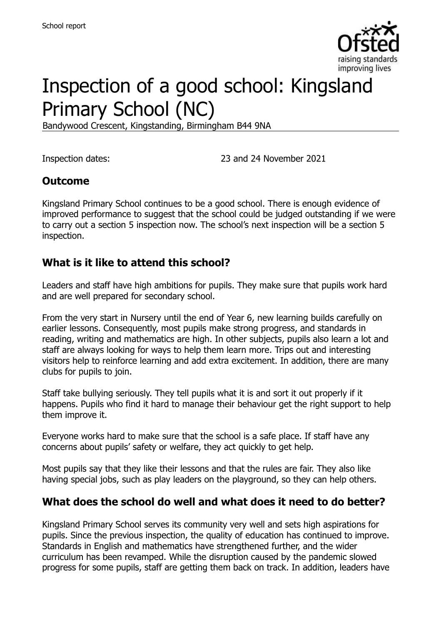

# Inspection of a good school: Kingsland Primary School (NC)

Bandywood Crescent, Kingstanding, Birmingham B44 9NA

Inspection dates: 23 and 24 November 2021

#### **Outcome**

Kingsland Primary School continues to be a good school. There is enough evidence of improved performance to suggest that the school could be judged outstanding if we were to carry out a section 5 inspection now. The school's next inspection will be a section 5 inspection.

#### **What is it like to attend this school?**

Leaders and staff have high ambitions for pupils. They make sure that pupils work hard and are well prepared for secondary school.

From the very start in Nursery until the end of Year 6, new learning builds carefully on earlier lessons. Consequently, most pupils make strong progress, and standards in reading, writing and mathematics are high. In other subjects, pupils also learn a lot and staff are always looking for ways to help them learn more. Trips out and interesting visitors help to reinforce learning and add extra excitement. In addition, there are many clubs for pupils to join.

Staff take bullying seriously. They tell pupils what it is and sort it out properly if it happens. Pupils who find it hard to manage their behaviour get the right support to help them improve it.

Everyone works hard to make sure that the school is a safe place. If staff have any concerns about pupils' safety or welfare, they act quickly to get help.

Most pupils say that they like their lessons and that the rules are fair. They also like having special jobs, such as play leaders on the playground, so they can help others.

#### **What does the school do well and what does it need to do better?**

Kingsland Primary School serves its community very well and sets high aspirations for pupils. Since the previous inspection, the quality of education has continued to improve. Standards in English and mathematics have strengthened further, and the wider curriculum has been revamped. While the disruption caused by the pandemic slowed progress for some pupils, staff are getting them back on track. In addition, leaders have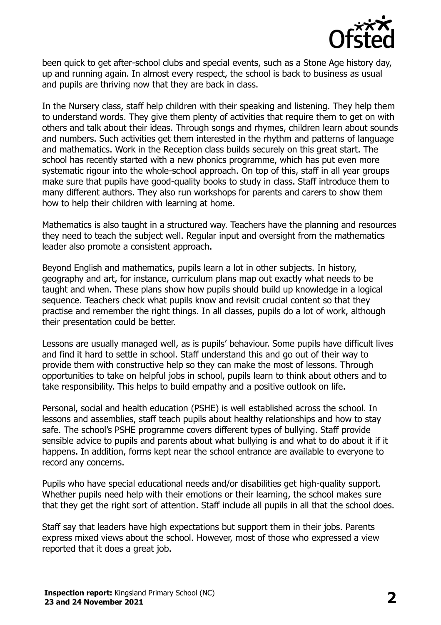

been quick to get after-school clubs and special events, such as a Stone Age history day, up and running again. In almost every respect, the school is back to business as usual and pupils are thriving now that they are back in class.

In the Nursery class, staff help children with their speaking and listening. They help them to understand words. They give them plenty of activities that require them to get on with others and talk about their ideas. Through songs and rhymes, children learn about sounds and numbers. Such activities get them interested in the rhythm and patterns of language and mathematics. Work in the Reception class builds securely on this great start. The school has recently started with a new phonics programme, which has put even more systematic rigour into the whole-school approach. On top of this, staff in all year groups make sure that pupils have good-quality books to study in class. Staff introduce them to many different authors. They also run workshops for parents and carers to show them how to help their children with learning at home.

Mathematics is also taught in a structured way. Teachers have the planning and resources they need to teach the subject well. Regular input and oversight from the mathematics leader also promote a consistent approach.

Beyond English and mathematics, pupils learn a lot in other subjects. In history, geography and art, for instance, curriculum plans map out exactly what needs to be taught and when. These plans show how pupils should build up knowledge in a logical sequence. Teachers check what pupils know and revisit crucial content so that they practise and remember the right things. In all classes, pupils do a lot of work, although their presentation could be better.

Lessons are usually managed well, as is pupils' behaviour. Some pupils have difficult lives and find it hard to settle in school. Staff understand this and go out of their way to provide them with constructive help so they can make the most of lessons. Through opportunities to take on helpful jobs in school, pupils learn to think about others and to take responsibility. This helps to build empathy and a positive outlook on life.

Personal, social and health education (PSHE) is well established across the school. In lessons and assemblies, staff teach pupils about healthy relationships and how to stay safe. The school's PSHE programme covers different types of bullying. Staff provide sensible advice to pupils and parents about what bullying is and what to do about it if it happens. In addition, forms kept near the school entrance are available to everyone to record any concerns.

Pupils who have special educational needs and/or disabilities get high-quality support. Whether pupils need help with their emotions or their learning, the school makes sure that they get the right sort of attention. Staff include all pupils in all that the school does.

Staff say that leaders have high expectations but support them in their jobs. Parents express mixed views about the school. However, most of those who expressed a view reported that it does a great job.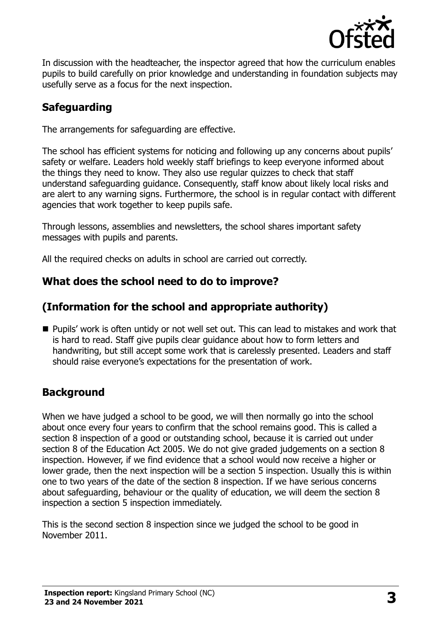

In discussion with the headteacher, the inspector agreed that how the curriculum enables pupils to build carefully on prior knowledge and understanding in foundation subjects may usefully serve as a focus for the next inspection.

# **Safeguarding**

The arrangements for safeguarding are effective.

The school has efficient systems for noticing and following up any concerns about pupils' safety or welfare. Leaders hold weekly staff briefings to keep everyone informed about the things they need to know. They also use regular quizzes to check that staff understand safeguarding guidance. Consequently, staff know about likely local risks and are alert to any warning signs. Furthermore, the school is in regular contact with different agencies that work together to keep pupils safe.

Through lessons, assemblies and newsletters, the school shares important safety messages with pupils and parents.

All the required checks on adults in school are carried out correctly.

#### **What does the school need to do to improve?**

### **(Information for the school and appropriate authority)**

**Pupils' work is often untidy or not well set out. This can lead to mistakes and work that** is hard to read. Staff give pupils clear guidance about how to form letters and handwriting, but still accept some work that is carelessly presented. Leaders and staff should raise everyone's expectations for the presentation of work.

#### **Background**

When we have judged a school to be good, we will then normally go into the school about once every four years to confirm that the school remains good. This is called a section 8 inspection of a good or outstanding school, because it is carried out under section 8 of the Education Act 2005. We do not give graded judgements on a section 8 inspection. However, if we find evidence that a school would now receive a higher or lower grade, then the next inspection will be a section 5 inspection. Usually this is within one to two years of the date of the section 8 inspection. If we have serious concerns about safeguarding, behaviour or the quality of education, we will deem the section 8 inspection a section 5 inspection immediately.

This is the second section 8 inspection since we judged the school to be good in November 2011.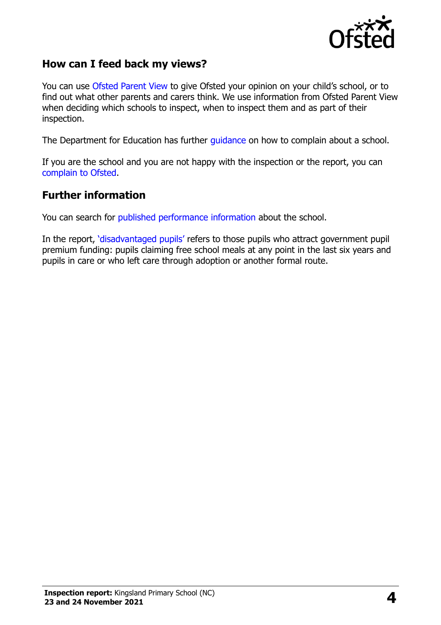

#### **How can I feed back my views?**

You can use [Ofsted Parent View](https://parentview.ofsted.gov.uk/) to give Ofsted your opinion on your child's school, or to find out what other parents and carers think. We use information from Ofsted Parent View when deciding which schools to inspect, when to inspect them and as part of their inspection.

The Department for Education has further [guidance](http://www.gov.uk/complain-about-school) on how to complain about a school.

If you are the school and you are not happy with the inspection or the report, you can [complain to Ofsted.](https://www.gov.uk/complain-ofsted-report)

#### **Further information**

You can search for [published performance](http://www.compare-school-performance.service.gov.uk/) information about the school.

In the report, '[disadvantaged pupils](http://www.gov.uk/guidance/pupil-premium-information-for-schools-and-alternative-provision-settings)' refers to those pupils who attract government pupil premium funding: pupils claiming free school meals at any point in the last six years and pupils in care or who left care through adoption or another formal route.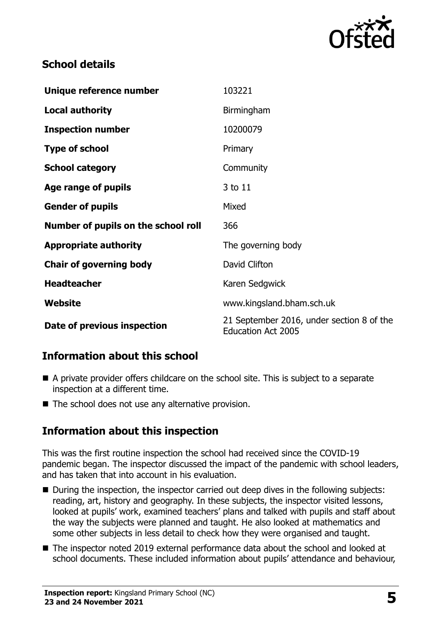

# **School details**

| Unique reference number             | 103221                                                                 |
|-------------------------------------|------------------------------------------------------------------------|
| <b>Local authority</b>              | Birmingham                                                             |
| <b>Inspection number</b>            | 10200079                                                               |
| <b>Type of school</b>               | Primary                                                                |
| <b>School category</b>              | Community                                                              |
| Age range of pupils                 | 3 to 11                                                                |
| <b>Gender of pupils</b>             | Mixed                                                                  |
| Number of pupils on the school roll | 366                                                                    |
| <b>Appropriate authority</b>        | The governing body                                                     |
| <b>Chair of governing body</b>      | David Clifton                                                          |
| <b>Headteacher</b>                  | Karen Sedgwick                                                         |
| Website                             | www.kingsland.bham.sch.uk                                              |
| Date of previous inspection         | 21 September 2016, under section 8 of the<br><b>Education Act 2005</b> |

# **Information about this school**

- A private provider offers childcare on the school site. This is subject to a separate inspection at a different time.
- $\blacksquare$  The school does not use any alternative provision.

# **Information about this inspection**

This was the first routine inspection the school had received since the COVID-19 pandemic began. The inspector discussed the impact of the pandemic with school leaders, and has taken that into account in his evaluation.

- During the inspection, the inspector carried out deep dives in the following subjects: reading, art, history and geography. In these subjects, the inspector visited lessons, looked at pupils' work, examined teachers' plans and talked with pupils and staff about the way the subjects were planned and taught. He also looked at mathematics and some other subjects in less detail to check how they were organised and taught.
- The inspector noted 2019 external performance data about the school and looked at school documents. These included information about pupils' attendance and behaviour,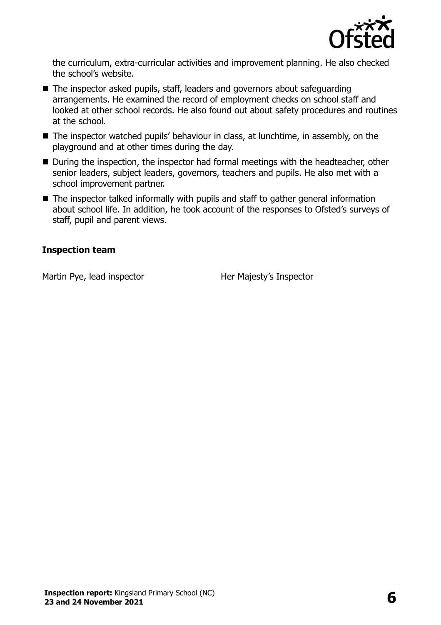

the curriculum, extra-curricular activities and improvement planning. He also checked the school's website.

- The inspector asked pupils, staff, leaders and governors about safeguarding arrangements. He examined the record of employment checks on school staff and looked at other school records. He also found out about safety procedures and routines at the school.
- The inspector watched pupils' behaviour in class, at lunchtime, in assembly, on the playground and at other times during the day.
- During the inspection, the inspector had formal meetings with the headteacher, other senior leaders, subject leaders, governors, teachers and pupils. He also met with a school improvement partner.
- The inspector talked informally with pupils and staff to gather general information about school life. In addition, he took account of the responses to Ofsted's surveys of staff, pupil and parent views.

#### **Inspection team**

Martin Pye, lead inspector Her Majesty's Inspector